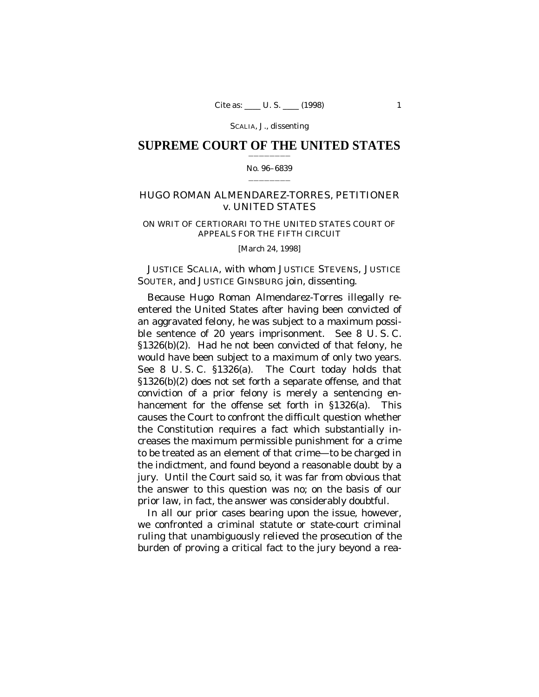### **SUPREME COURT OF THE UNITED STATES** ————————

# No. 96–6839

#### ————————

# HUGO ROMAN ALMENDAREZ-TORRES, PETITIONER *v.* UNITED STATES

## ON WRIT OF CERTIORARI TO THE UNITED STATES COURT OF APPEALS FOR THE FIFTH CIRCUIT

[March 24, 1998]

JUSTICE SCALIA, with whom JUSTICE STEVENS, JUSTICE SOUTER, and JUSTICE GINSBURG join, dissenting.

Because Hugo Roman Almendarez-Torres illegally reentered the United States after having been convicted of an aggravated felony, he was subject to a maximum possible sentence of 20 years imprisonment. See 8 U. S. C. §1326(b)(2). Had he not been convicted of that felony, he would have been subject to a maximum of only two years. See 8 U. S. C. §1326(a). The Court today holds that §1326(b)(2) does not set forth a separate offense, and that conviction of a prior felony is merely a sentencing enhancement for the offense set forth in §1326(a). This causes the Court to confront the difficult question whether the Constitution requires a fact which substantially increases the maximum permissible punishment for a crime to be treated as an element of that crime— to be charged in the indictment, and found beyond a reasonable doubt by a jury. Until the Court said so, it was far from obvious that the answer to this question was no; on the basis of our prior law, in fact, the answer was considerably doubtful.

In all our prior cases bearing upon the issue, however, we confronted a criminal statute or state-court criminal ruling that unambiguously relieved the prosecution of the burden of proving a critical fact to the jury beyond a rea-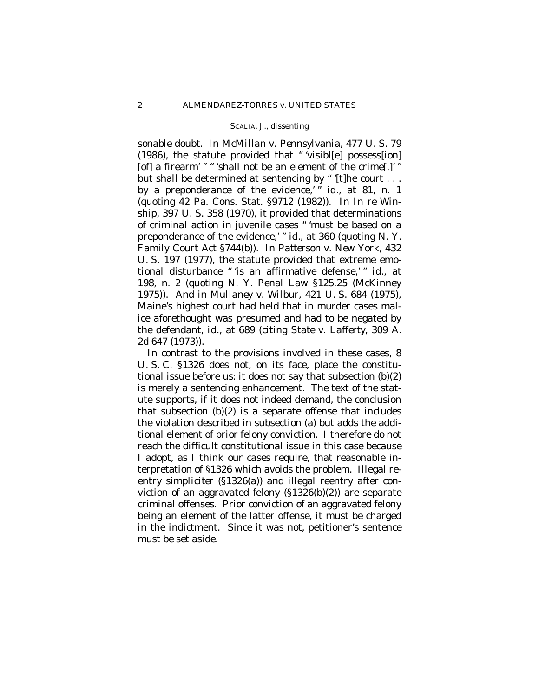sonable doubt. In *McMillan* v. *Pennsylvania*, 477 U. S. 79 (1986), the statute provided that " 'visibl[e] possess[ion] [of] a firearm'" " 'shall not be an element of the crime[,]'" but shall be determined at sentencing by " [t]he court . . . by a preponderance of the evidence, " *id.*, at 81, n. 1 (quoting 42 Pa. Cons. Stat. §9712 (1982)). In *In re Winship,* 397 U. S. 358 (1970), it provided that determinations of criminal action in juvenile cases " 'must be based on a preponderance of the evidence,' " *id.*, at 360 (quoting N. Y. Family Court Act §744(b)). In *Patterson* v. *New York*, 432 U. S. 197 (1977), the statute provided that extreme emotional disturbance " 'is an affirmative defense,' " *id.*, at 198, n. 2 (quoting N. Y. Penal Law §125.25 (McKinney 1975)). And in *Mullaney* v. *Wilbur*, 421 U. S. 684 (1975), Maine's highest court had held that in murder cases malice aforethought was presumed and had to be negated by the defendant, *id.*, at 689 (citing *State* v. *Lafferty*, 309 A. 2d 647 (1973)).

In contrast to the provisions involved in these cases, 8 U. S. C. §1326 does not, on its face, place the constitutional issue before us: it does not say that subsection (b)(2) is merely a sentencing enhancement. The text of the statute supports, if it does not indeed demand, the conclusion that subsection  $(b)(2)$  is a separate offense that includes the violation described in subsection (a) but adds the additional element of prior felony conviction. I therefore do not reach the difficult constitutional issue in this case because I adopt, as I think our cases require, that reasonable interpretation of §1326 which avoids the problem. Illegal reentry *simpliciter* (§1326(a)) and illegal reentry after conviction of an aggravated felony (§1326(b)(2)) are separate criminal offenses. Prior conviction of an aggravated felony being an element of the latter offense, it must be charged in the indictment. Since it was not, petitioner's sentence must be set aside.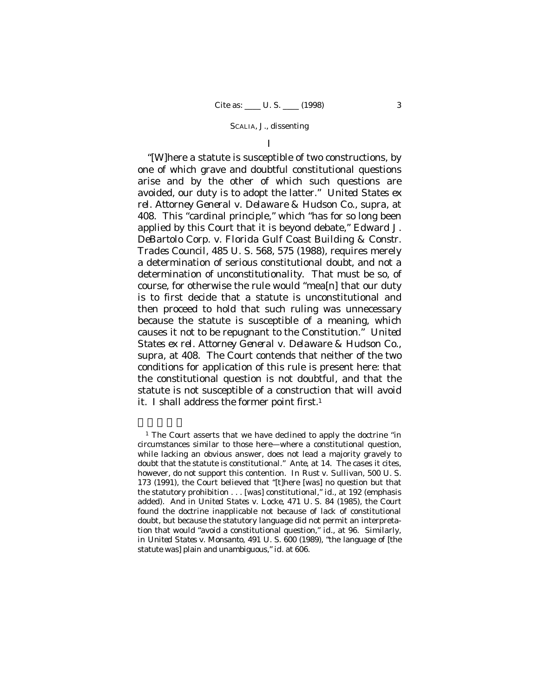I

"[W]here a statute is susceptible of two constructions, by one of which grave and doubtful constitutional questions arise and by the other of which such questions are avoided, our duty is to adopt the latter." *United States ex rel. Attorney General* v. *Delaware & Hudson Co., supra,* at 408. This "cardinal principle," which "has for so long been applied by this Court that it is beyond debate," *Edward J. DeBartolo Corp.* v. *Florida Gulf Coast Building & Constr. Trades Council,* 485 U. S. 568, 575 (1988), requires merely a determination of serious constitutional *doubt*, and not a determination of *unconstitutionality*. That must be so, of course, for otherwise the rule would "mea[n] that our duty is to first decide that a statute is unconstitutional and then proceed to hold that such ruling was unnecessary because the statute is susceptible of a meaning, which causes it not to be repugnant to the Constitution." *United States ex rel. Attorney General* v. *Delaware & Hudson Co., supra,* at 408. The Court contends that neither of the two conditions for application of this rule is present here: that the constitutional question is not doubtful, and that the statute is not susceptible of a construction that will avoid it. I shall address the former point first.<sup>1</sup>

<sup>&</sup>lt;sup>1</sup> The Court asserts that we have declined to apply the doctrine "in circumstances similar to those here— where a constitutional question, while lacking an obvious answer, does not lead a majority gravely to doubt that the statute is constitutional." *Ante,* at 14. The cases it cites, however, do not support this contention. In *Rust* v. *Sullivan*, 500 U. S. 173 (1991), the Court believed that "[t]here [was] *no question* but that the statutory prohibition . . . [was] constitutional," *id.*, at 192 (emphasis added). And in *United States* v. *Locke*, 471 U. S. 84 (1985), the Court found the doctrine inapplicable not because of lack of constitutional doubt, but because the statutory language did not permit an interpretation that would "avoid a constitutional question," *id.*, at 96. Similarly, in *United States* v. *Monsanto,* 491 U. S. 600 (1989), "the language of [the statute was] plain and unambiguous," *id.* at 606.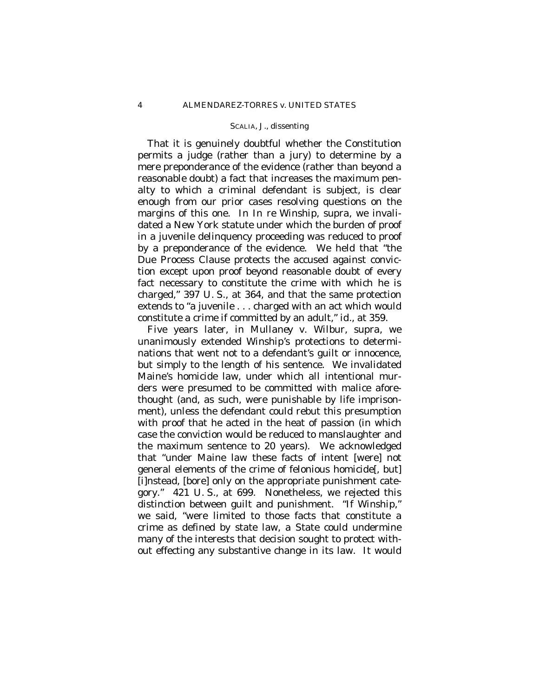That it is genuinely doubtful whether the Constitution permits a judge (rather than a jury) to determine by a mere preponderance of the evidence (rather than beyond a reasonable doubt) a fact that increases the maximum penalty to which a criminal defendant is subject, is clear enough from our prior cases resolving questions on the margins of this one. In *In re Winship, supra*, we invalidated a New York statute under which the burden of proof in a juvenile delinquency proceeding was reduced to proof by a preponderance of the evidence. We held that "the Due Process Clause protects the accused against conviction except upon proof beyond reasonable doubt of every fact necessary to constitute the crime with which he is charged," 397 U. S., at 364, and that the same protection extends to "a juvenile . . . charged with an act which would constitute a crime if committed by an adult," *id.,* at 359.

Five years later, in *Mullaney* v. *Wilbur*, *supra*, we unanimously extended *Winship*'s protections to determinations that went not to a defendant's guilt or innocence, but simply to the length of his sentence. We invalidated Maine's homicide law, under which all intentional murders were presumed to be committed with malice aforethought (and, as such, were punishable by life imprisonment), unless the defendant could rebut this presumption with proof that he acted in the heat of passion (in which case the conviction would be reduced to manslaughter and the maximum sentence to 20 years). We acknowledged that "under Maine law these facts of intent [were] not general elements of the crime of felonious homicide[, but] [i]nstead, [bore] only on the appropriate punishment category." 421 U. S., at 699. Nonetheless, we rejected this distinction between guilt and punishment. "If *Winship*," we said, "were limited to those facts that constitute a crime as defined by state law, a State could undermine many of the interests that decision sought to protect without effecting any substantive change in its law. It would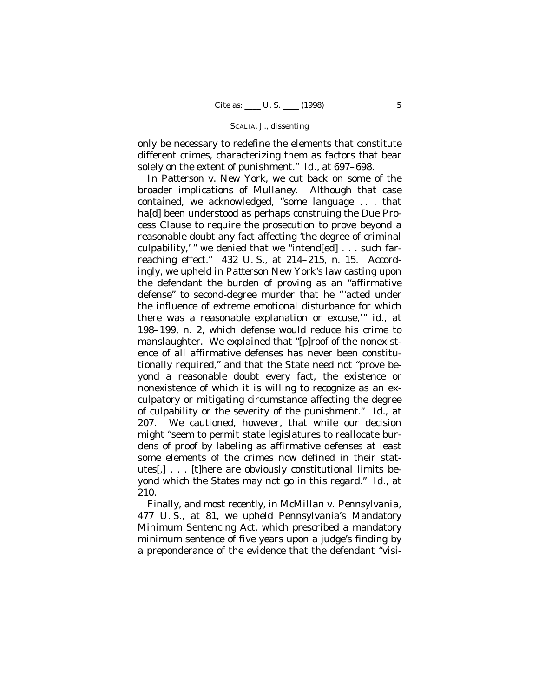only be necessary to redefine the elements that constitute different crimes, characterizing them as factors that bear solely on the extent of punishment." *Id.*, at 697–698.

In *Patterson* v. *New York*, we cut back on some of the broader implications of *Mullaney*. Although that case contained, we acknowledged, "some language . . . that ha<sup>[d]</sup> been understood as perhaps construing the Due Process Clause to require the prosecution to prove beyond a reasonable doubt any fact affecting 'the degree of criminal culpability,' " we denied that we "intend[ed] . . . such farreaching effect." 432 U. S., at 214–215, n. 15. Accordingly, we upheld in *Patterson* New York's law casting upon the defendant the burden of proving as an "affirmative defense" to second-degree murder that he "'acted under the influence of extreme emotional disturbance for which there was a reasonable explanation or excuse,'" *id.,* at 198–199, n. 2, which defense would reduce his crime to manslaughter. We explained that "[p]roof of the nonexistence of all affirmative defenses has never been constitutionally required," and that the State need not "prove beyond a reasonable doubt every fact, the existence or nonexistence of which it is willing to recognize as an exculpatory or mitigating circumstance affecting the degree of culpability or the severity of the punishment." *Id.,* at 207. We cautioned, however, that while our decision might "seem to permit state legislatures to reallocate burdens of proof by labeling as affirmative defenses at least some elements of the crimes now defined in their statutes[,] . . . [t]here are obviously constitutional limits beyond which the States may not go in this regard." *Id.,* at 210.

Finally, and most recently, in *McMillan* v. *Pennsylvania*, 477 U. S., at 81, we upheld Pennsylvania's Mandatory Minimum Sentencing Act, which prescribed a mandatory *minimum* sentence of five years upon a judge's finding by a preponderance of the evidence that the defendant "visi-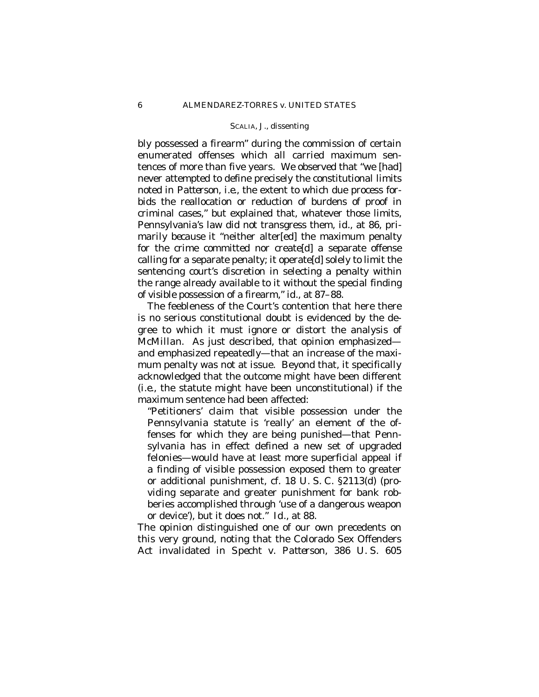bly possessed a firearm" during the commission of certain enumerated offenses which all carried maximum sentences of more than five years. We observed that "we [had] never attempted to define precisely the constitutional limits noted in *Patterson*, *i.e.*, the extent to which due process forbids the reallocation or reduction of burdens of proof in criminal cases," but explained that, whatever those limits, Pennsylvania's law did not transgress them, *id.,* at 86, *primarily because* it "neither alter[ed] the maximum penalty for the crime committed nor create d a separate offense calling for a separate penalty; it operate[d] solely to limit the sentencing court's discretion in selecting a penalty within the range already available to it without the special finding of visible possession of a firearm," *id.,* at 87–88.

The feebleness of the Court's contention that here there is no serious constitutional doubt is evidenced by the degree to which it must ignore or distort the analysis of *McMillan.* As just described, that opinion emphasized and emphasized repeatedly— that an increase of the maximum penalty was not at issue. Beyond that, it specifically acknowledged that the outcome might have been different (*i.e.*, the statute might have been unconstitutional) if the maximum sentence had been affected:

"Petitioners' claim that visible possession under the Pennsylvania statute is 'really' an element of the offenses for which they are being punished— that Pennsylvania has in effect defined a new set of upgraded felonies— would have at least more superficial appeal if a finding of visible possession exposed them to greater or additional punishment, cf. 18 U. S. C. §2113(d) (providing separate and greater punishment for bank robberies accomplished through 'use of a dangerous weapon or device'), but it does not." *Id.*, at 88.

The opinion distinguished one of our own precedents on this very ground, noting that the Colorado Sex Offenders Act invalidated in *Specht* v. *Patterson*, 386 U. S. 605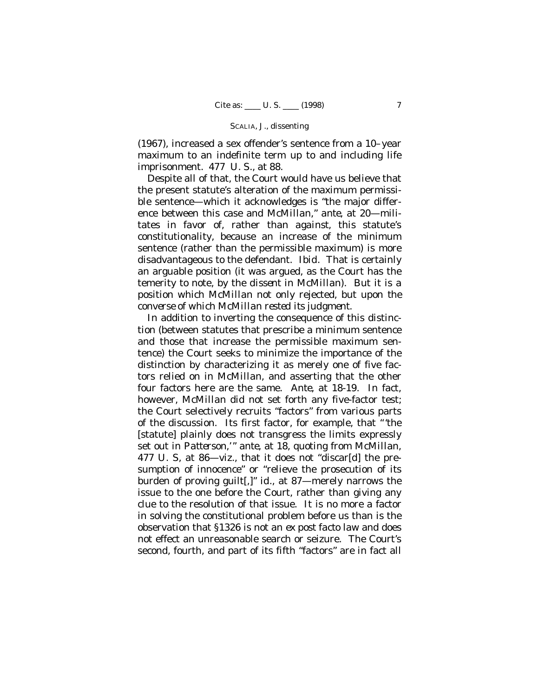(1967), increased a sex offender's sentence from a 10–year maximum to an indefinite term up to and including life imprisonment. 477 U. S., at 88.

Despite all of that, the Court would have us believe that the present statute's alteration of the maximum permissible sentence— which it acknowledges is "the major difference between this case and *McMillan*," *ante*, at 20— militates *in favor of*, rather than *against*, this statute's constitutionality, because an increase of the minimum sentence (rather than the permissible maximum) is more disadvantageous to the defendant. *Ibid.* That is certainly an arguable position (it was argued, as the Court has the temerity to note, by the *dissent* in *McMillan*). But it is a position which *McMillan* not only rejected, but *upon the converse of which McMillan rested its judgment.*

In addition to inverting the consequence of this distinction (between statutes that prescribe a minimum sentence and those that increase the permissible maximum sentence) the Court seeks to minimize the importance of the distinction by characterizing it as merely one of five factors relied on in *McMillan*, and asserting that the other four factors here are the same. *Ante,* at 18-19. In fact, however, *McMillan* did not set forth any five-factor test; the Court selectively recruits "factors" from various parts of the discussion. Its first factor, for example, that "'the [statute] plainly does not transgress the limits expressly set out in *Patterson*,'" *ante*, at 18, quoting from *McMillan,* 477 U. S, at 86— *viz.*, that it does not "discar[d] the presumption of innocence" or "relieve the prosecution of its burden of proving guilt[,]" *id.,* at 87— merely narrows the issue to the one before the Court, rather than giving any clue to the resolution of that issue. It is no more a factor in solving the constitutional problem before us than is the observation that §1326 is not an *ex post facto* law and does not effect an unreasonable search or seizure. The Court's second, fourth, and part of its fifth "factors" are in fact all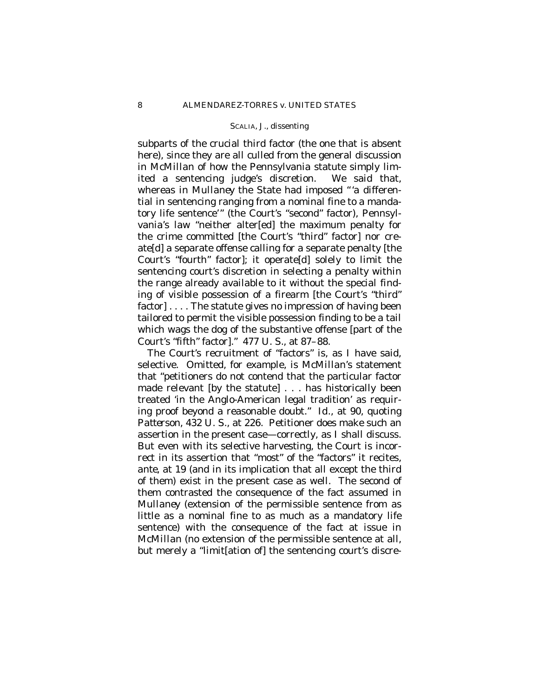subparts of the crucial third factor (the one that is absent here), since they are all culled from the general discussion in *McMillan* of how the Pennsylvania statute simply limited a sentencing judge's discretion. We said that, whereas in *Mullaney* the State had imposed "'a differential in sentencing ranging from a nominal fine to a mandatory life sentence'" (the Court's "second" factor), Pennsylvania's law "neither alter[ed] the maximum penalty for the crime committed [the Court's "third" factor] nor create[d] a separate offense calling for a separate penalty [the Court's "fourth" factor]; it operate[d] solely to limit the sentencing court's discretion in selecting a penalty within the range already available to it without the special finding of visible possession of a firearm [the Court's "third" factor] . . . . The statute gives no impression of having been tailored to permit the visible possession finding to be a tail which wags the dog of the substantive offense [part of the Court's "fifth" factor]." 477 U. S., at 87–88.

The Court's recruitment of "factors" is, as I have said, selective. Omitted, for example, is *McMillan's* statement that "petitioners do not contend that the particular factor made relevant [by the statute] . . . has historically been treated 'in the Anglo-American legal tradition' as requiring proof beyond a reasonable doubt." *Id.*, at 90, quoting *Patterson*, 432 U. S., at 226. Petitioner does make such an assertion in the present case— correctly, as I shall discuss. But even with its selective harvesting, the Court is incorrect in its assertion that "most" of the "factors" it recites, *ante*, at 19 (and in its implication that all except the third of them) exist in the present case as well. The second of them contrasted the consequence of the fact assumed in *Mullaney* (extension of the permissible sentence from as little as a nominal fine to as much as a mandatory life sentence) with the consequence of the fact at issue in *McMillan* (no extension of the permissible sentence at all, but merely a "limit[ation of] the sentencing court's discre-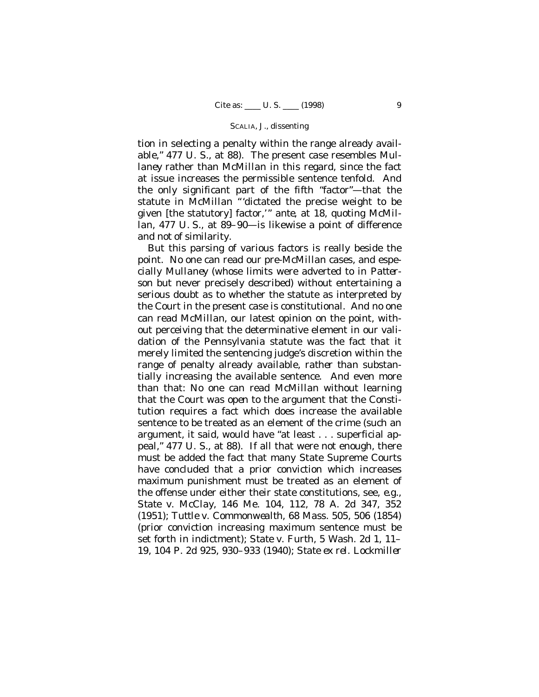tion in selecting a penalty within the range already available," 477 U. S., at 88). The present case resembles *Mullaney* rather than *McMillan* in this regard, since the fact at issue increases the permissible sentence tenfold. And the only significant part of the fifth "factor"— that the statute in *McMillan* "'dictated the precise weight to be given [the statutory] factor,'" *ante,* at 18, quoting *McMillan*, 477 U. S., at 89–90— is likewise a point of difference and *not* of similarity.

But this parsing of various factors is really beside the point. No one can read our pre-*McMillan* cases, and especially *Mullaney* (whose limits were adverted to in *Patterson* but never precisely described) without entertaining a serious doubt as to whether the statute as interpreted by the Court in the present case is constitutional. And no one can read *McMillan*, our latest opinion on the point, without perceiving that the determinative element in our validation of the Pennsylvania statute was the fact that it merely limited the sentencing judge's discretion within the range of penalty already available, *rather than* substantially increasing the available sentence. And even more than that: No one can read *McMillan* without learning that the Court was *open* to the argument that the Constitution requires a fact which does increase the available sentence to be treated as an element of the crime (such an argument, it said, would have "at least . . . superficial appeal," 477 U. S., at 88). If all that were not enough, there must be added the fact that many State Supreme Courts have concluded that a prior conviction which increases maximum punishment must be treated as an element of the offense under either their state constitutions, see, *e.g., State* v. *McClay*, 146 Me. 104, 112, 78 A. 2d 347, 352 (1951); *Tuttle* v. *Commonwealth*, 68 Mass. 505, 506 (1854) (prior conviction increasing maximum sentence must be set forth in indictment); *State* v. *Furth*, 5 Wash. 2d 1, 11– 19, 104 P. 2d 925, 930–933 (1940); *State ex rel. Lockmiller*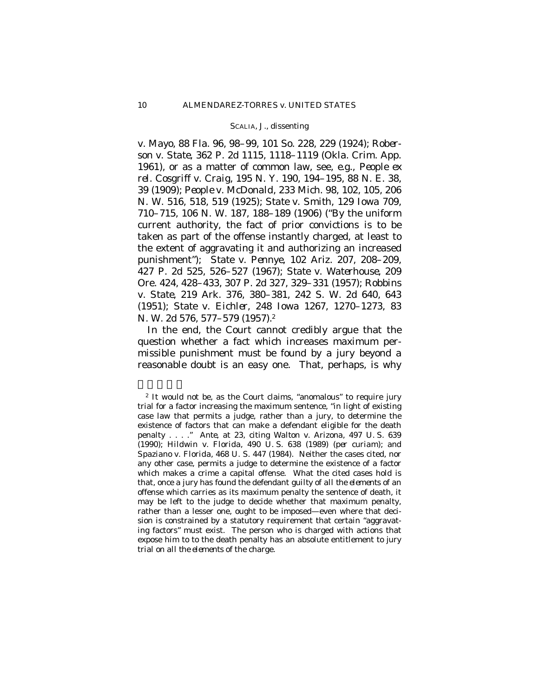v. *Mayo*, 88 Fla. 96, 98–99, 101 So. 228, 229 (1924); *Roberson* v. *State*, 362 P. 2d 1115, 1118–1119 (Okla. Crim. App. 1961), or as a matter of common law, see, *e.g., People ex rel. Cosgriff* v. *Craig*, 195 N. Y. 190, 194–195, 88 N. E. 38, 39 (1909); *People* v. *McDonald*, 233 Mich. 98, 102, 105, 206 N. W. 516, 518, 519 (1925); *State* v. *Smith*, 129 Iowa 709, 710–715, 106 N. W. 187, 188–189 (1906) ("By the uniform current authority, the fact of prior convictions is to be taken as part of the offense instantly charged, at least to the extent of aggravating it and authorizing an increased punishment"); *State* v. *Pennye*, 102 Ariz. 207, 208–209, 427 P. 2d 525, 526–527 (1967); *State* v. *Waterhouse*, 209 Ore. 424, 428–433, 307 P. 2d 327, 329–331 (1957); *Robbins* v. *State*, 219 Ark. 376, 380–381, 242 S. W. 2d 640, 643 (1951); *State* v. *Eichler*, 248 Iowa 1267, 1270–1273, 83 N. W. 2d 576, 577–579 (1957).<sup>2</sup>

In the end, the Court cannot credibly argue that the question whether a fact which increases maximum permissible punishment must be found by a jury beyond a reasonable doubt is an easy one. That, perhaps, is why

<sup>&</sup>lt;sup>2</sup> It would not be, as the Court claims, "anomalous" to require jury trial for a factor increasing the maximum sentence, "in light of existing case law that permits a judge, rather than a jury, to determine the existence of factors that can make a defendant eligible for the death penalty . . . ." *Ante*, at 23, citing *Walton* v. *Arizona*, 497 U. S. 639 (1990); *Hildwin* v. *Florida*, 490 U. S. 638 (1989) *(per curiam);* and *Spaziano* v. *Florida*, 468 U. S. 447 (1984). Neither the cases cited, nor any other case, permits a judge to determine the existence of a factor which makes a crime a capital offense. What the cited cases hold is that, once a *jury* has found the defendant *guilty* of *all the elements* of an offense which carries as its maximum penalty the sentence of death, it may be left to the judge to decide whether that maximum penalty, rather than a lesser one, ought to be imposed— even where that decision is constrained by a statutory requirement that certain "aggravating factors" must exist. The person who is charged with actions that expose him to to the death penalty has an absolute entitlement to jury trial on *all the elements* of the charge.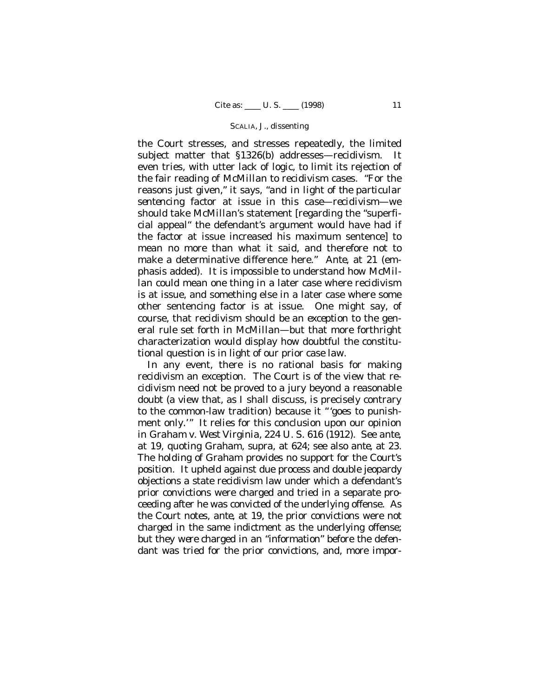the Court stresses, and stresses repeatedly, the limited subject matter that §1326(b) addresses— recidivism. It even tries, with utter lack of logic, to limit its rejection of the fair reading of *McMillan* to recidivism cases. "For the reasons just given," it says, "*and in light of the particular sentencing factor at issue in this case— recidivism—* we should take *McMillan's* statement [regarding the "superficial appeal" the defendant's argument would have had if the factor at issue increased his maximum sentence] to mean no more than what it said, and therefore not to make a determinative difference here." *Ante*, at 21 (emphasis added). It is impossible to understand how *McMillan* could mean one thing in a later case where recidivism is at issue, and something else in a later case where some other sentencing factor is at issue. One might say, of course, that recidivism *should be an exception* to the general rule set forth in *McMillan*— but that more forthright characterization would display how doubtful the constitutional question is in light of our prior case law.

In any event, there is no rational basis for *making* recidivism an exception. The Court is of the view that recidivism need not be proved to a jury beyond a reasonable doubt (a view that, as I shall discuss, is precisely contrary to the common-law tradition) because it "'goes to punishment only.'" It relies for this conclusion upon our opinion in *Graham* v. *West Virginia,* 224 U. S. 616 (1912). See *ante,* at 19, quoting *Graham, supra,* at 624; see also *ante,* at 23. The *holding* of *Graham* provides no support for the Court's position. It upheld against due process and double jeopardy objections a state recidivism law under which a defendant's prior convictions were charged and tried in a separate proceeding after he was convicted of the underlying offense. As the Court notes, *ante,* at 19, the prior convictions were not charged in the same indictment as the underlying offense; but they *were* charged in an "information" before the defendant was tried for the prior convictions, and, more impor-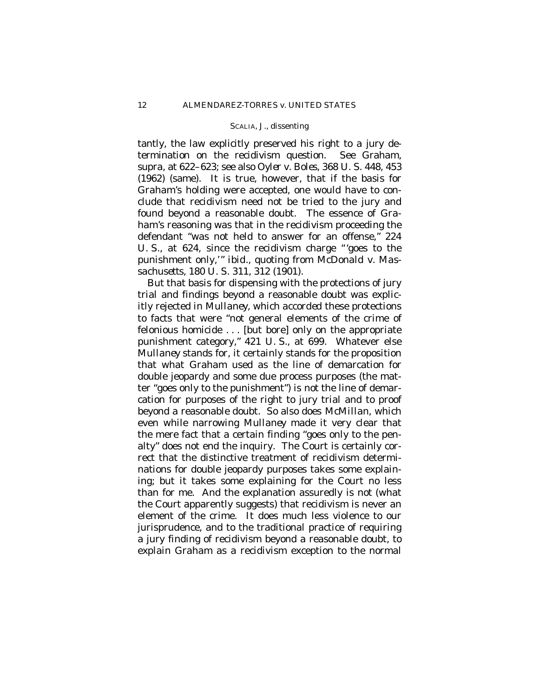tantly, the law explicitly preserved his right to a jury determination on the recidivism question. See *Graham, supra,* at 622–623; see also *Oyler* v. *Boles,* 368 U. S. 448, 453 (1962) (same). It is true, however, that if the *basis* for *Graham*'s holding were accepted, one would have to conclude that recidivism need not be tried to the jury and found beyond a reasonable doubt. The essence of *Graham*'s reasoning was that in the recidivism proceeding the defendant "was not held to answer for an offense," 224 U. S., at 624, since the recidivism charge "'goes to the punishment only,'" *ibid*., quoting from *McDonald* v. *Massachusetts*, 180 U. S. 311, 312 (1901).

But that basis for dispensing with the protections of jury trial and findings beyond a reasonable doubt was explicitly rejected in *Mullaney*, which *accorded* these protections to facts that were "not general elements of the crime of felonious homicide . . . [but bore] only on the appropriate punishment category," 421 U. S., at 699. Whatever else *Mullaney* stands for, it certainly stands for the proposition that what *Graham* used as the line of demarcation for double jeopardy and some due process purposes (the matter "goes only to the punishment") is *not* the line of demarcation for purposes of the right to jury trial and to proof beyond a reasonable doubt. So also does *McMillan*, which even while narrowing *Mullaney* made it very clear that the mere fact that a certain finding "goes only to the penalty" does not end the inquiry. The Court is certainly correct that the distinctive treatment of recidivism determinations for double jeopardy purposes takes some explaining; but it takes some explaining for the Court no less than for me. And the explanation assuredly is *not* (what the Court apparently suggests) that recidivism is never an element of the crime. It does much less violence to our jurisprudence, and to the traditional practice of requiring a jury finding of recidivism beyond a reasonable doubt, to explain *Graham* as a recidivism exception to the normal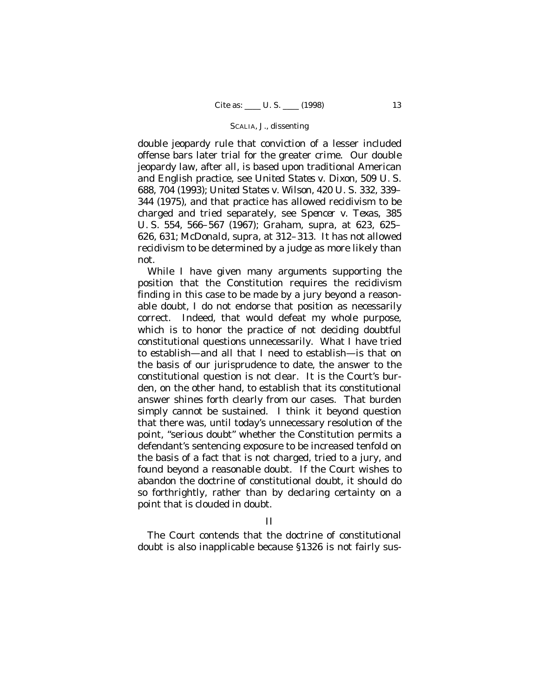double jeopardy rule that conviction of a lesser included offense bars later trial for the greater crime. Our double jeopardy law, after all, is based upon traditional American and English practice, see *United States* v. *Dixon,* 509 U. S. 688, 704 (1993); *United States* v. *Wilson,* 420 U. S. 332, 339– 344 (1975), and that practice has allowed recidivism to be charged and tried separately, see *Spencer* v. *Texas,* 385 U. S. 554, 566–567 (1967); *Graham, supra,* at 623, 625– 626, 631; *McDonald, supra,* at 312–313. It has *not* allowed recidivism to be determined by a judge as more likely than not.

While I have given many arguments supporting the position that the Constitution requires the recidivism finding in this case to be made by a jury beyond a reasonable doubt, I do not endorse that position as necessarily correct. Indeed, that would defeat my whole purpose, which is to honor the practice of not deciding doubtful constitutional questions unnecessarily. What I have tried to establish— and all that I need to establish— is that on the basis of our jurisprudence to date, the answer to the constitutional question is not clear. It is the Court's burden, on the other hand, to establish that its constitutional answer shines forth clearly from our cases. That burden simply cannot be sustained. I think it beyond question that there was, until today's unnecessary resolution of the point, "serious doubt" whether the Constitution permits a defendant's sentencing exposure to be increased tenfold on the basis of a fact that is not charged, tried to a jury, and found beyond a reasonable doubt. If the Court wishes to abandon the doctrine of constitutional doubt, it should do so forthrightly, rather than by declaring certainty on a point that is clouded in doubt.

The Court contends that the doctrine of constitutional doubt is also inapplicable because §1326 is not fairly sus-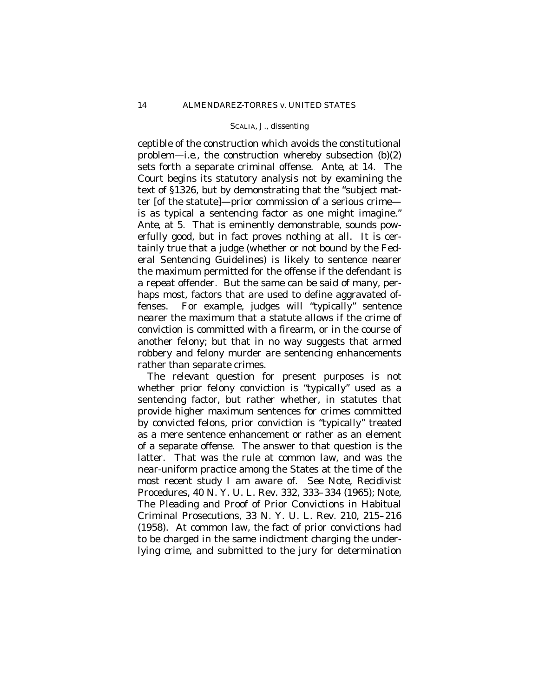ceptible of the construction which avoids the constitutional problem— *i.e.*, the construction whereby subsection (b)(2) sets forth a separate criminal offense. *Ante*, at 14. The Court begins its statutory analysis not by examining the text of §1326, but by demonstrating that the "subject matter [of the statute]— prior commission of a serious crime is as typical a sentencing factor as one might imagine." *Ante,* at 5. That is eminently demonstrable, sounds powerfully good, but in fact proves nothing at all. It is certainly true that a judge (whether or not bound by the Federal Sentencing Guidelines) is likely to sentence nearer the maximum permitted for the offense if the defendant is a repeat offender. But the same can be said of many, perhaps most, factors that are used to define aggravated offenses. For example, judges will "typically" sentence nearer the maximum that a statute allows if the crime of conviction is committed with a firearm, or in the course of another felony; but that in no way suggests that armed robbery and felony murder are sentencing enhancements rather than separate crimes.

The *relevant* question for present purposes is not whether prior felony conviction is "typically" used as a sentencing factor, but rather whether, in statutes that provide higher maximum sentences for crimes committed by convicted felons, prior conviction is "typically" treated as a mere sentence enhancement or rather as an element of a separate offense. The answer to that question is the latter. That was the rule at common law, and was the near-uniform practice among the States at the time of the most recent study I am aware of. See Note, Recidivist Procedures, 40 N. Y. U. L. Rev. 332, 333–334 (1965); Note, The Pleading and Proof of Prior Convictions in Habitual Criminal Prosecutions, 33 N. Y. U. L. Rev. 210, 215–216 (1958). At common law, the fact of prior convictions *had* to be charged in the same indictment charging the underlying crime, and submitted to the jury for determination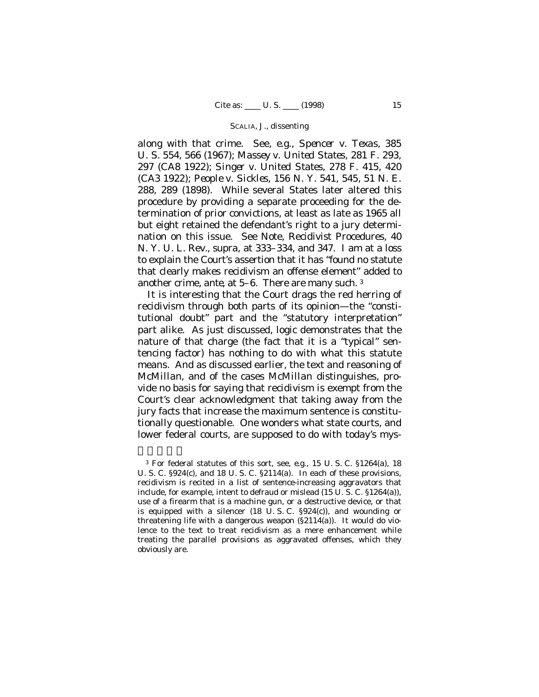along with that crime. See, *e.g., Spencer* v. *Texas*, 385 U. S. 554, 566 (1967); *Massey* v. *United States*, 281 F. 293, 297 (CA8 1922); *Singer* v. *United States*, 278 F. 415, 420 (CA3 1922); *People* v. *Sickles*, 156 N. Y. 541, 545, 51 N. E. 288, 289 (1898). While several States later altered this procedure by providing a separate proceeding for the determination of prior convictions, at least as late as 1965 all but eight retained the defendant's right to a jury determination on this issue. See Note, Recidivist Procedures, 40 N. Y. U. L. Rev.*, supra,* at 333–334, and 347. I am at a loss to explain the Court's assertion that it has "found no statute that clearly makes recidivism an offense element" added to another crime, *ante*, at 5–6. There are many such. <sup>3</sup>

It is interesting that the Court drags the red herring of recidivism through both parts of its opinion— the "constitutional doubt" part and the "statutory interpretation" part alike. As just discussed, logic demonstrates that the nature of that charge (the fact that it is a "typical" sentencing factor) has nothing to do with what this statute means. And as discussed earlier, the text and reasoning of *McMillan*, and of the cases *McMillan* distinguishes, provide no basis for saying that recidivism is exempt from the Court's clear acknowledgment that taking away from the jury facts that increase the maximum sentence is constitutionally questionable. One wonders what state courts, and lower federal courts, are supposed to do with today's mys-

<sup>3</sup> For federal statutes of this sort, see, *e.g.,* 15 U. S. C. §1264(a), 18 U. S. C. §924(c), and 18 U. S. C. §2114(a). In each of these provisions, recidivism is recited in a list of sentence-increasing aggravators that include, for example, intent to defraud or mislead (15 U. S. C. §1264(a)), use of a firearm that is a machine gun, or a destructive device, or that is equipped with a silencer (18 U. S. C. §924(c)), and wounding or threatening life with a dangerous weapon (§2114(a)). It would do violence to the text to treat recidivism as a mere enhancement while treating the parallel provisions as aggravated offenses, which they obviously are.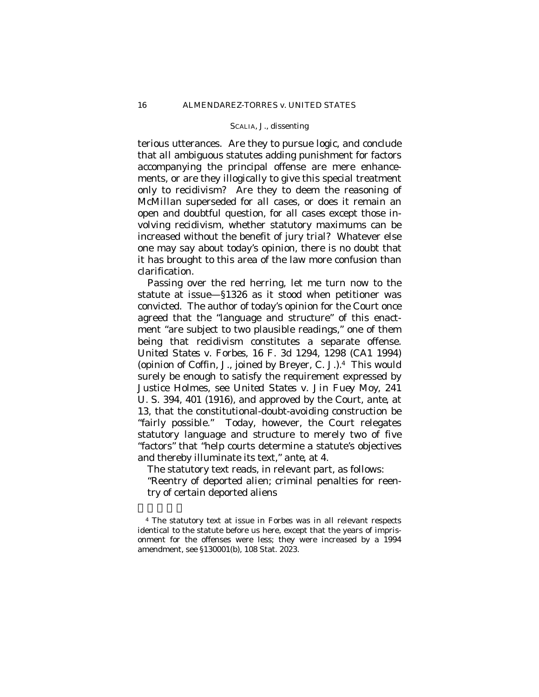terious utterances. Are they to pursue logic, and conclude that *all* ambiguous statutes adding punishment for factors accompanying the principal offense are mere enhancements, or are they illogically to give this special treatment only to recidivism? Are they to deem the reasoning of *McMillan* superseded for *all* cases, or does it remain an open and doubtful question, for all cases except those involving recidivism, whether statutory maximums can be increased without the benefit of jury trial? Whatever else one may say about today's opinion, there is no doubt that it has brought to this area of the law more confusion than clarification.

Passing over the red herring, let me turn now to the statute at issue— §1326 as it stood when petitioner was convicted. The author of today's opinion for the Court once agreed that the "language and structure" of this enactment "are subject to two plausible readings," one of them being that recidivism constitutes a separate offense. *United States* v. *Forbes*, 16 F. 3d 1294, 1298 (CA1 1994) (opinion of Coffin, J., joined by Breyer, C. J.).<sup>4</sup> This would surely be enough to satisfy the requirement expressed by Justice Holmes, see *United States* v. *Jin Fuey Moy*, 241 U. S. 394, 401 (1916), and approved by the Court, *ante*, at 13, that the constitutional-doubt-avoiding construction be "fairly possible." Today, however, the Court relegates statutory language and structure to merely two of five "factors" that "help courts determine a statute's objectives and thereby illuminate its text," *ante,* at 4.

The statutory text reads, in relevant part, as follows:

"Reentry of deported alien; criminal penalties for reentry of certain deported aliens

<sup>4</sup> The statutory text at issue in *Forbes* was in all relevant respects identical to the statute before us here, except that the years of imprisonment for the offenses were less; they were increased by a 1994 amendment, see §130001(b), 108 Stat. 2023.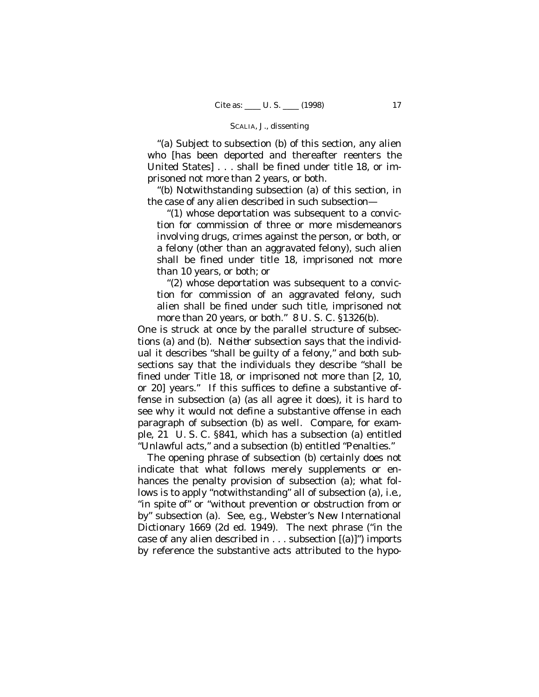"(a) Subject to subsection (b) of this section, any alien who [has been deported and thereafter reenters the United States] . . . shall be fined under title 18, or imprisoned not more than 2 years, or both.

"(b) Notwithstanding subsection (a) of this section, in the case of any alien described in such subsection—

"(1) whose deportation was subsequent to a conviction for commission of three or more misdemeanors involving drugs, crimes against the person, or both, or a felony (other than an aggravated felony), such alien shall be fined under title 18, imprisoned not more than 10 years, or both; or

"(2) whose deportation was subsequent to a conviction for commission of an aggravated felony, such alien shall be fined under such title, imprisoned not more than 20 years, or both." 8 U. S. C. §1326(b).

One is struck at once by the parallel structure of subsections (a) and (b). *Neither* subsection says that the individual it describes "shall be guilty of a felony," and *both* subsections say that the individuals they describe "shall be fined under Title 18, or imprisoned not more than [2, 10, or 20] years." If this suffices to define a substantive offense in subsection (a) (as all agree it does), it is hard to see why it would not define a substantive offense in each paragraph of subsection (b) as well. Compare, for example, 21 U. S. C. §841, which has a subsection (a) entitled "Unlawful acts," and a subsection (b) entitled "Penalties."

The opening phrase of subsection (b) certainly does not indicate that what follows merely supplements or enhances the penalty provision of subsection (a); what follows is to apply "notwithstanding" all of subsection (a), *i.e.,* "in spite of" or "without prevention or obstruction from or by" subsection (a). See, *e.g.*, Webster's New International Dictionary 1669 (2d ed. 1949). The next phrase ("in the case of any alien described in  $\ldots$  subsection  $[(a)]$ ") imports by reference the substantive acts attributed to the hypo-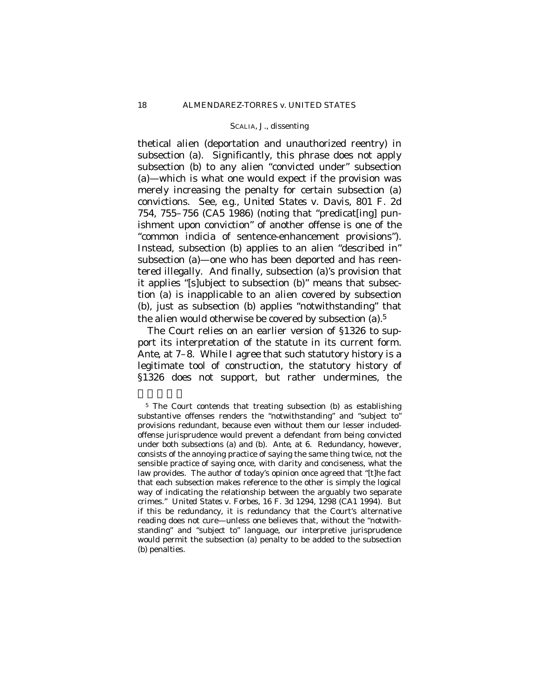thetical alien (deportation and unauthorized reentry) in subsection (a). Significantly, this phrase does not apply subsection (b) to any alien "convicted under" subsection (a)— which is what one would expect if the provision was merely increasing the penalty for certain subsection (a) convictions. See, *e.g.*, *United States* v. *Davis*, 801 F. 2d 754, 755–756 (CA5 1986) (noting that "predicat[ing] punishment upon conviction" of another offense is one of the "common indicia of sentence-enhancement provisions"). Instead, subsection (b) applies to an alien "described in" subsection (a)– one who has been deported and has reentered illegally. And finally, subsection (a)'s provision that it applies "[s]ubject to subsection (b)" means that subsection (a) is inapplicable to an alien covered by subsection (b), just as subsection (b) applies "notwithstanding" that the alien would otherwise be covered by subsection (a).<sup>5</sup>

The Court relies on an earlier version of §1326 to support its interpretation of the statute in its current form. *Ante,* at 7–8. While I agree that such statutory history is a legitimate tool of construction, the statutory history of §1326 does not support, but rather undermines, the

<sup>&</sup>lt;sup>5</sup> The Court contends that treating subsection (b) as establishing substantive offenses renders the "notwithstanding" and "subject to" provisions redundant, because even without them our lesser includedoffense jurisprudence would prevent a defendant from being convicted under both subsections (a) and (b). *Ante,* at 6. Redundancy, however, consists of the annoying practice of saying the same thing twice, not the sensible practice of saying once, with clarity and conciseness, what the law provides. The author of today's opinion once agreed that "[t]he fact that each subsection makes reference to the other is simply the logical way of indicating the relationship between the arguably two separate crimes." *United States* v. *Forbes*, 16 F. 3d 1294, 1298 (CA1 1994). But if this be redundancy, it is redundancy that the Court's alternative reading does not cure— unless one believes that, without the "notwithstanding" and "subject to" language, our interpretive jurisprudence would permit the subsection (a) penalty to be added to the subsection (b) penalties.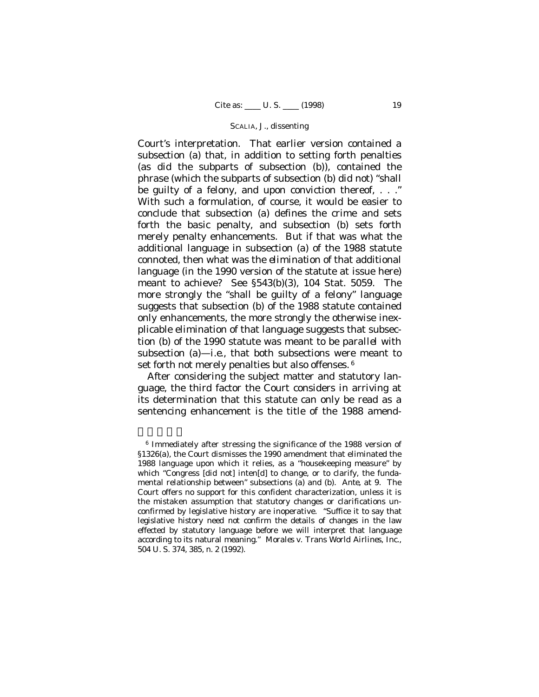Court's interpretation. That earlier version contained a subsection (a) that, in addition to setting forth penalties (as did the subparts of subsection (b)), contained the phrase (which the subparts of subsection (b) did not) "shall be guilty of a felony, and upon conviction thereof,  $\ldots$ ." With such a formulation, of course, it would be easier to conclude that subsection (a) defines the crime and sets forth the basic penalty, and subsection (b) sets forth merely penalty enhancements. But if that was what the additional language in subsection (a) of the 1988 statute connoted, then what was the *elimination* of that additional language (in the 1990 version of the statute at issue here) meant to achieve? See §543(b)(3), 104 Stat. 5059. The more strongly the "shall be guilty of a felony" language suggests that subsection (b) of the 1988 statute contained only enhancements, the more strongly the otherwise inexplicable elimination of that language suggests that subsection (b) of the 1990 statute was meant to be *parallel* with subsection (a)— *i.e.*, that both subsections were meant to set forth not merely penalties but also offenses. <sup>6</sup>

After considering the subject matter and statutory language, the third factor the Court considers in arriving at its determination that this statute can only be read as a sentencing enhancement is the title of the 1988 amend-

<sup>6</sup> Immediately after stressing the significance of the 1988 version of §1326(a), the Court dismisses the 1990 amendment that eliminated the 1988 language upon which it relies, as a "housekeeping measure" by which "Congress [did not] inten[d] to change, or to clarify, the fundamental relationship between" subsections (a) and (b). *Ante,* at 9. The Court offers no support for this confident characterization, unless it is the mistaken assumption that statutory changes or clarifications unconfirmed by legislative history are inoperative. "Suffice it to say that legislative history need not confirm the details of changes in the law effected by statutory language before we will interpret that language according to its natural meaning." *Morales* v. *Trans World Airlines, Inc.,* 504 U. S. 374, 385, n. 2 (1992).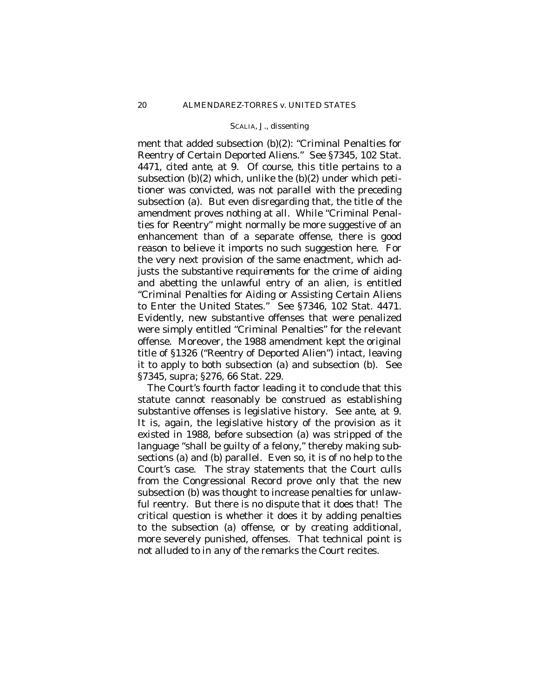ment that added subsection (b)(2): "Criminal Penalties for Reentry of Certain Deported Aliens." See §7345, 102 Stat. 4471, cited *ante*, at 9. Of course, this title pertains to a subsection (b)(2) which, unlike the (b)(2) under which petitioner was convicted, was not parallel with the preceding subsection (a). But even disregarding that, the title of the amendment proves nothing at all. While "Criminal Penalties for Reentry" might normally be more suggestive of an enhancement than of a separate offense, there is good reason to believe it imports no such suggestion here. For the very next provision of the same enactment, which adjusts the *substantive requirements* for the crime of aiding and abetting the unlawful entry of an alien, is entitled "Criminal Penalties for Aiding or Assisting Certain Aliens to Enter the United States." See §7346, 102 Stat. 4471. Evidently, new substantive offenses that were penalized were simply entitled "Criminal Penalties" for the relevant offense. Moreover, the 1988 amendment kept the original title of §1326 ("Reentry of Deported Alien") intact, leaving it to apply to both subsection (a) and subsection (b). See §7345, *supra;* §276, 66 Stat. 229.

The Court's fourth factor leading it to conclude that this statute cannot reasonably be construed as establishing substantive offenses is legislative history. See *ante,* at 9. It is, again, the legislative history of the provision as it existed in 1988, before subsection (a) was stripped of the language "shall be guilty of a felony," thereby making subsections (a) and (b) parallel. Even so, it is of no help to the Court's case. The stray statements that the Court culls from the Congressional Record prove only that the new subsection (b) was thought to increase penalties for unlawful reentry. But there is no dispute that it does that! The critical question is whether it does it by adding penalties to the subsection (a) offense, or by creating additional, more severely punished, offenses. That technical point is not alluded to in any of the remarks the Court recites.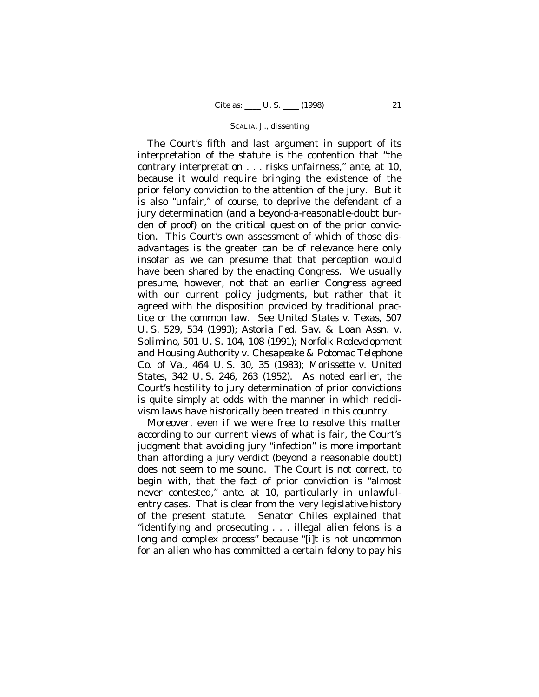The Court's fifth and last argument in support of its interpretation of the statute is the contention that "the contrary interpretation . . . risks unfairness," *ante*, at 10, because it would require bringing the existence of the prior felony conviction to the attention of the jury. But it is also "unfair," of course, to deprive the defendant of a jury determination (and a beyond-a-reasonable-doubt burden of proof) on the critical question of the prior conviction. This Court's own assessment of which of those disadvantages is the greater can be of relevance here only insofar as we can presume that that perception would have been shared by the enacting Congress. We usually presume, however, not that an earlier Congress agreed with our current policy judgments, but rather that it agreed with the disposition provided by traditional practice or the common law. See *United States* v. *Texas,* 507 U. S. 529, 534 (1993); *Astoria Fed. Sav. & Loan Assn.* v. *Solimino,* 501 U. S. 104, 108 (1991); *Norfolk Redevelopment and Housing Authority* v. *Chesapeake & Potomac Telephone Co. of Va.,* 464 U. S. 30, 35 (1983); *Morissette* v. *United States,* 342 U. S. 246, 263 (1952). As noted earlier, the Court's hostility to jury determination of prior convictions is quite simply at odds with the manner in which recidivism laws have historically been treated in this country.

Moreover, even if we were free to resolve this matter according to our current views of what is fair, the Court's judgment that avoiding jury "infection" is more important than affording a jury verdict (beyond a reasonable doubt) does not seem to me sound. The Court is not correct, to begin with, that the fact of prior conviction is "almost never contested," *ante*, at 10, particularly in unlawfulentry cases. That is clear from the very legislative history of the present statute. Senator Chiles explained that "identifying and prosecuting . . . illegal alien felons is a long and complex process" because "[i]t is not uncommon for an alien who has committed a certain felony to pay his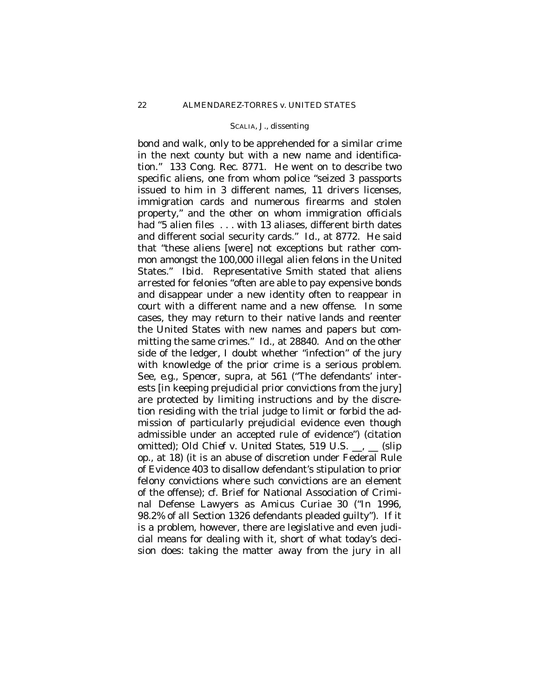bond and walk, only to be apprehended for a similar crime in the next county but with a new name and identification." 133 Cong. Rec. 8771. He went on to describe two specific aliens, one from whom police "seized 3 passports issued to him in 3 different names, 11 drivers licenses, immigration cards and numerous firearms and stolen property," and the other on whom immigration officials had "5 alien files ... with 13 aliases, different birth dates and different social security cards." *Id.*, at 8772. He said that "these aliens [were] not exceptions but rather common amongst the 100,000 illegal alien felons in the United States." *Ibid.* Representative Smith stated that aliens arrested for felonies "often are able to pay expensive bonds and disappear under a new identity often to reappear in court with a different name and a new offense. In some cases, they may return to their native lands and reenter the United States with new names and papers but committing the same crimes." *Id.,* at 28840. And on the other side of the ledger, I doubt whether "infection" of the jury with knowledge of the prior crime is a serious problem. See, *e.g.*, *Spencer, supra,* at 561 ("The defendants' interests [in keeping prejudicial prior convictions from the jury] are protected by limiting instructions and by the discretion residing with the trial judge to limit or forbid the admission of particularly prejudicial evidence even though admissible under an accepted rule of evidence") (citation omitted); *Old Chief* v. *United States*, 519 U.S. \_\_, \_\_ (slip op., at 18) (it is an abuse of discretion under Federal Rule of Evidence 403 to disallow defendant's stipulation to prior felony convictions where such convictions are an element of the offense); cf. Brief for National Association of Criminal Defense Lawyers as *Amicus Curiae* 30 ("In 1996, 98.2% of all Section 1326 defendants pleaded guilty"). If it is a problem, however, there are legislative and even judicial means for dealing with it, short of what today's decision does: taking the matter away from the jury in all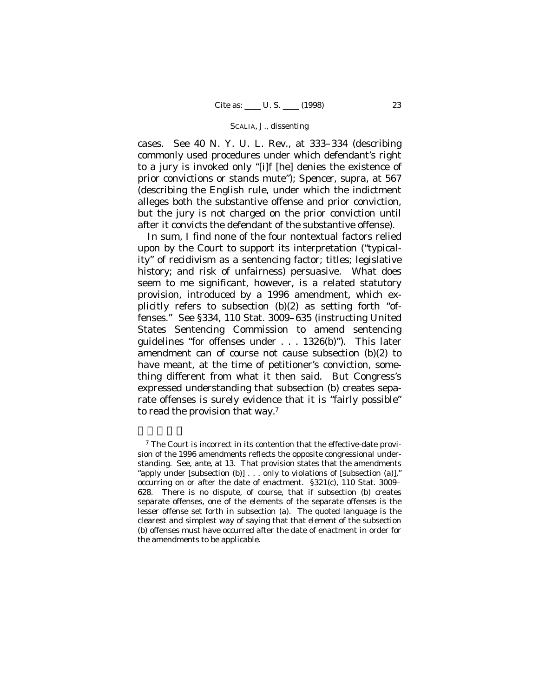cases. See 40 N. Y. U. L. Rev.*,* at 333–334 (describing commonly used procedures under which defendant's right to a jury is invoked only "[i]f [he] denies the existence of prior convictions or stands mute"); *Spencer, supra,* at 567 (describing the English rule, under which the indictment alleges both the substantive offense and prior conviction, but the jury is not charged on the prior conviction until after it convicts the defendant of the substantive offense).

In sum, I find none of the four nontextual factors relied upon by the Court to support its interpretation ("typicality" of recidivism as a sentencing factor; titles; legislative history; and risk of unfairness) persuasive. What does seem to me significant, however, is a related statutory provision, introduced by a 1996 amendment, which explicitly refers to subsection (b)(2) as setting forth "offenses." See §334, 110 Stat. 3009–635 (instructing United States Sentencing Commission to amend sentencing guidelines "for offenses under . . . 1326(b)"). This later amendment can of course not cause subsection (b)(2) to have meant, at the time of petitioner's conviction, something different from what it then said. But Congress's expressed understanding that subsection (b) creates separate offenses is surely evidence that it is "fairly possible" to read the provision that way.<sup>7</sup>

<sup>7</sup> The Court is incorrect in its contention that the effective-date provision of the 1996 amendments reflects the opposite congressional understanding. See, *ante*, at 13. That provision states that the amendments "apply under [subsection (b)] . . . only to violations of [subsection (a)]," occurring on or after the date of enactment. §321(c), 110 Stat. 3009– 628. There is no dispute, of course, that if subsection (b) creates separate offenses, one of the elements of the separate offenses is the lesser offense set forth in subsection (a). The quoted language is the clearest and simplest way of saying that *that element* of the subsection (b) offenses must have occurred after the date of enactment in order for the amendments to be applicable.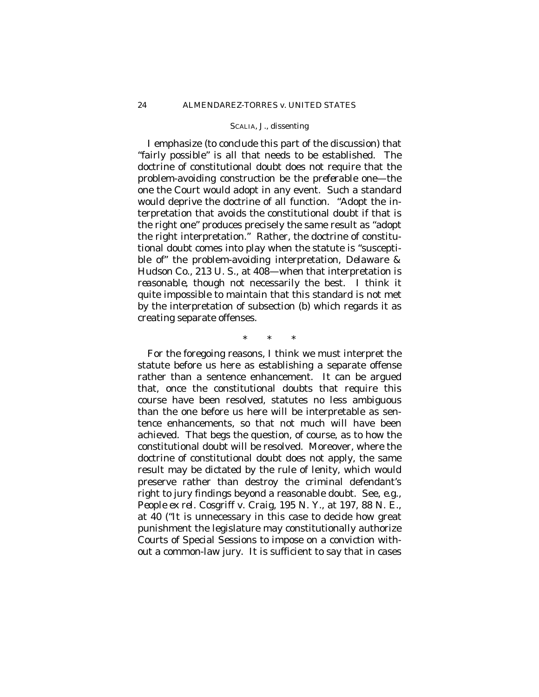I emphasize (to conclude this part of the discussion) that "fairly possible" is all that needs to be established. The doctrine of constitutional doubt does not require that the problem-avoiding construction be the *preferable* one— the one the Court would adopt in any event. Such a standard would deprive the doctrine of all function. "Adopt the interpretation that avoids the constitutional doubt if that is the right one" produces precisely the same result as "adopt the right interpretation." Rather, the doctrine of constitutional doubt comes into play when the statute is "susceptible of" the problem-avoiding interpretation, *Delaware & Hudson Co.,* 213 U. S., at 408— when that interpretation is *reasonable*, though not necessarily the best. I think it quite impossible to maintain that this standard is not met by the interpretation of subsection (b) which regards it as creating separate offenses.

\* \* \*

For the foregoing reasons, I think we must interpret the statute before us here as establishing a separate offense rather than a sentence enhancement. It can be argued that, once the constitutional doubts that require this course have been resolved, statutes no less ambiguous than the one before us here will be interpretable as sentence enhancements, so that not much will have been achieved. That begs the question, of course, as to how the constitutional doubt will be resolved. Moreover, where the doctrine of constitutional doubt does not apply, the same result may be dictated by the rule of lenity, which would preserve rather than destroy the criminal defendant's right to jury findings beyond a reasonable doubt. See, *e.g.*, *People ex rel. Cosgriff* v. *Craig*, 195 N. Y., at 197, 88 N. E., at 40 ("It is unnecessary in this case to decide how great punishment the legislature may constitutionally authorize Courts of Special Sessions to impose on a conviction without a common-law jury. It is sufficient to say that in cases